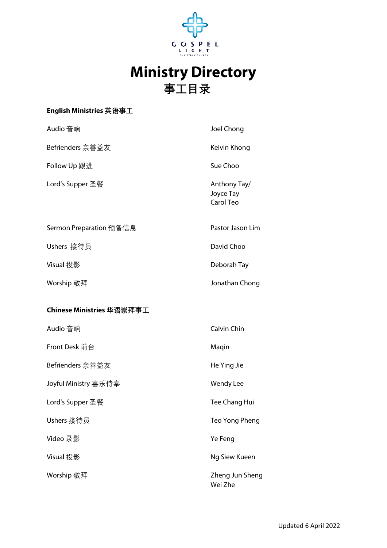

## **Ministry Directory 事工目录**

## **English Ministries 英语事工**

| Audio 音响                  | Joel Chong                             |
|---------------------------|----------------------------------------|
| Befrienders 亲善益友          | Kelvin Khong                           |
| Follow Up 跟进              | Sue Choo                               |
| Lord's Supper 圣餐          | Anthony Tay/<br>Joyce Tay<br>Carol Teo |
| Sermon Preparation 预备信息   | Pastor Jason Lim                       |
| Ushers 接待员                | David Choo                             |
| Visual 投影                 | Deborah Tay                            |
| Worship 敬拜                | Jonathan Chong                         |
| Chinese Ministries 华语崇拜事工 |                                        |
| Audio 音响                  | Calvin Chin                            |
| Front Desk 前台             | Maqin                                  |
| Befrienders 亲善益友          | He Ying Jie                            |
| Joyful Ministry 喜乐侍奉      | Wendy Lee                              |
| Lord's Supper 圣餐          | Tee Chang Hui                          |
| Ushers 接待员                | Teo Yong Pheng                         |
| Video 录影                  | Ye Feng                                |
| Visual 投影                 | Ng Siew Kueen                          |
| Worship 敬拜                | Zheng Jun Sheng<br>Wei Zhe             |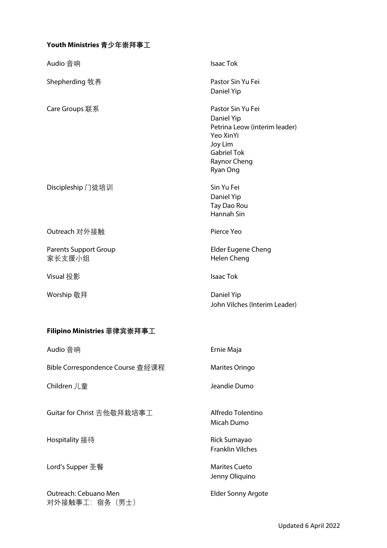## **Youth Ministries 青少年崇拜事工**

| Audio 音响                               | <b>Isaac Tok</b>                                                                                                                           |
|----------------------------------------|--------------------------------------------------------------------------------------------------------------------------------------------|
| Shepherding 牧养                         | Pastor Sin Yu Fei<br>Daniel Yip                                                                                                            |
| Care Groups 联系                         | Pastor Sin Yu Fei<br>Daniel Yip<br>Petrina Leow (interim leader)<br>Yeo XinYi<br>Joy Lim<br><b>Gabriel Tok</b><br>Raynor Cheng<br>Ryan Ong |
| Discipleship 门徒培训                      | Sin Yu Fei<br>Daniel Yip<br>Tay Dao Rou<br>Hannah Sin                                                                                      |
| Outreach 对外接触                          | Pierce Yeo                                                                                                                                 |
| <b>Parents Support Group</b><br>家长支援小组 | <b>Elder Eugene Cheng</b><br>Helen Cheng                                                                                                   |
| Visual 投影                              | <b>Isaac Tok</b>                                                                                                                           |
| Worship 敬拜                             | Daniel Yip<br>John Vilches (Interim Leader)                                                                                                |
| Filipino Ministries 菲律宾崇拜事工            |                                                                                                                                            |
| Audio 音响                               | Ernie Maja                                                                                                                                 |
| Bible Correspondence Course 查经课程       | Marites Oringo                                                                                                                             |
| Children 儿童                            | Jeandie Dumo                                                                                                                               |
| Guitar for Christ 吉他敬拜栽培事工             | Alfredo Tolentino<br>Micah Dumo                                                                                                            |
| Hospitality 接待                         | Rick Sumayao<br><b>Franklin Vilches</b>                                                                                                    |
| Lord's Supper 圣餐                       | <b>Marites Cueto</b><br>Jenny Oliquino                                                                                                     |
| Outreach: Cebuano Men<br>对外接触事工:宿务(男士) | <b>Elder Sonny Argote</b>                                                                                                                  |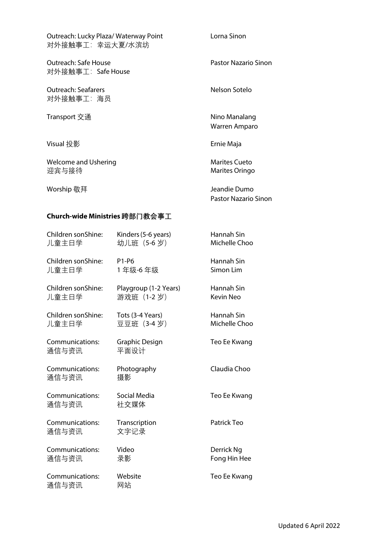| Outreach: Lucky Plaza/ Waterway Point<br>对外接触事工:幸运大夏/水滨坊 | Lorna Sinon                          |  |
|----------------------------------------------------------|--------------------------------------|--|
| Outreach: Safe House<br>对外接触事工:Safe House                | Pastor Nazario Sinon                 |  |
| <b>Outreach: Seafarers</b><br>对外接触事工:海员                  | Nelson Sotelo                        |  |
| Transport 交通                                             | Nino Manalang<br>Warren Amparo       |  |
| Visual 投影                                                | Ernie Maja                           |  |
| Welcome and Ushering<br>迎宾与接待                            | Marites Cueto<br>Marites Oringo      |  |
| Worship 敬拜                                               | Jeandie Dumo<br>Pastor Nazario Sinon |  |
| Church-wide Ministries 跨部门教会事工                           |                                      |  |

Kinders (5-6 years)

幼儿班 (5-6岁)

1年级-6年级

Playgroup (1-2 Years)

游戏班 (1-2岁)

Tots (3-4 Years)

Graphic Design

Photography

Social Media

Transcription

社交媒体

文字记录

Video

录影

网站

Website

平面设计

摄影

豆豆班 (3-4岁)

P1-P6

Hannah Sin

Hannah Sin

Simon Lim

Hannah Sin

Kevin Neo

Hannah Sin

Michelle Choo

Teo Ee Kwang

Claudia Choo

Teo Ee Kwang

Patrick Teo

Derrick Ng

Fong Hin Hee

Teo Ee Kwang

Michelle Choo

Children sonShine:

Children sonShine:

Children sonShine:

Children sonShine:

Communications:

Communications:

Communications:

Communications:

Communications:

Communications:

儿童主日学

儿童主日学

儿童主日学

儿童主日学

通信与资讯

通信与资讯

通信与资讯

通信与资讯

通信与资讯

通信与资讯

Updated 6 April 2022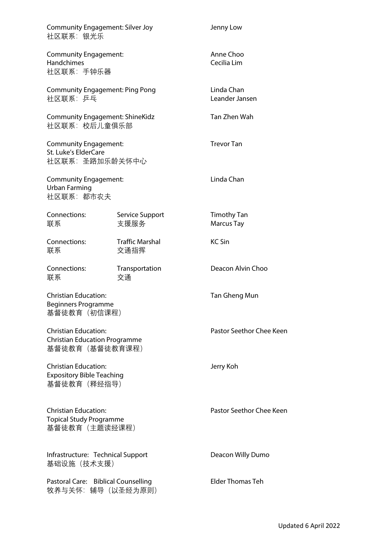| <b>Community Engagement: Silver Joy</b><br>社区联系:银光乐                                   |                                | Jenny Low                        |
|---------------------------------------------------------------------------------------|--------------------------------|----------------------------------|
| <b>Community Engagement:</b><br><b>Handchimes</b><br>社区联系:手钟乐器                        |                                | Anne Choo<br>Cecilia Lim         |
| <b>Community Engagement: Ping Pong</b><br>社区联系:乒乓                                     |                                | Linda Chan<br>Leander Jansen     |
| <b>Community Engagement: ShineKidz</b><br>社区联系: 校后儿童俱乐部                               |                                | Tan Zhen Wah                     |
| <b>Community Engagement:</b><br>St. Luke's ElderCare<br>社区联系:圣路加乐龄关怀中心                |                                | <b>Trevor Tan</b>                |
| <b>Community Engagement:</b><br><b>Urban Farming</b><br>社区联系:都市农夫                     |                                | Linda Chan                       |
| Connections:<br>联系                                                                    | Service Support<br>支援服务        | <b>Timothy Tan</b><br>Marcus Tay |
| Connections:<br>联系                                                                    | <b>Traffic Marshal</b><br>交通指挥 | <b>KC Sin</b>                    |
| Connections:<br>联系                                                                    | Transportation<br>交通           | Deacon Alvin Choo                |
| <b>Christian Education:</b><br><b>Beginners Programme</b><br>基督徒教育 (初信课程)             |                                | Tan Gheng Mun                    |
| <b>Christian Education:</b><br><b>Christian Education Programme</b><br>基督徒教育(基督徒教育课程) |                                | Pastor Seethor Chee Keen         |
| <b>Christian Education:</b><br><b>Expository Bible Teaching</b><br>基督徒教育(释经指导)        |                                | Jerry Koh                        |
| Christian Education:<br><b>Topical Study Programme</b><br>基督徒教育(主题读经课程)               |                                | Pastor Seethor Chee Keen         |
| Infrastructure: Technical Support<br>基础设施(技术支援)                                       |                                | Deacon Willy Dumo                |
| Pastoral Care: Biblical Counselling<br>牧养与关怀:辅导(以圣经为原则)                               |                                | <b>Elder Thomas Teh</b>          |